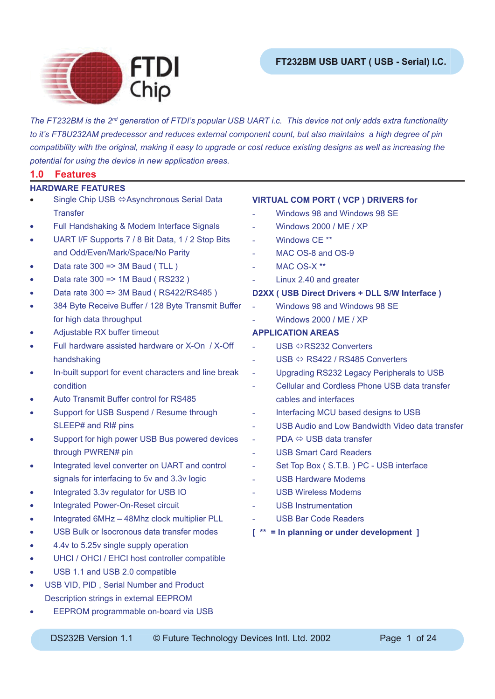



*The FT232BM is the 2nd generation of FTDI's popular USB UART i.c. This device not only adds extra functionality to it's FT8U232AM predecessor and reduces external component count, but also maintains a high degree of pin compatibility with the original, making it easy to upgrade or cost reduce existing designs as well as increasing the potential for using the device in new application areas.*

## **1.0 Features**

- Single Chip USB ⇔Asynchronous Serial Data **Transfer HARDWARE FEATURES**
- Full Handshaking & Modem Interface Signals
- UART I/F Supports 7 / 8 Bit Data, 1 / 2 Stop Bits and Odd/Even/Mark/Space/No Parity
- Data rate  $300 \Rightarrow 3M$  Baud (TLL)
- Data rate 300 => 1M Baud ( RS232 )
- Data rate 300 => 3M Baud ( RS422/RS485 )
- 384 Byte Receive Buffer / 128 Byte Transmit Buffer for high data throughput
- Adjustable RX buffer timeout
- Full hardware assisted hardware or X-On / X-Off handshaking
- In-built support for event characters and line break condition
- Auto Transmit Buffer control for RS485
- Support for USB Suspend / Resume through SLEEP# and RI# pins
- Support for high power USB Bus powered devices through PWREN# pin
- Integrated level converter on UART and control signals for interfacing to 5v and 3.3v logic
- Integrated 3.3v regulator for USB IO
- Integrated Power-On-Reset circuit
- Integrated 6MHz 48Mhz clock multiplier PLL
- USB Bulk or Isocronous data transfer modes
- 4.4v to 5.25v single supply operation
- UHCI / OHCI / EHCI host controller compatible
- USB 1.1 and USB 2.0 compatible
- USB VID, PID, Serial Number and Product Description strings in external EEPROM
- EEPROM programmable on-board via USB

## **VIRTUAL COM PORT ( VCP ) DRIVERS for**

- Windows 98 and Windows 98 SE
- Windows 2000 / ME / XP
- Windows CE<sup>\*\*</sup>
- MAC OS-8 and OS-9
- $MAC$   $OS-X$  \*\*
- Linux 2.40 and greater

## **D2XX ( USB Direct Drivers + DLL S/W Interface )**

- Windows 98 and Windows 98 SE
- Windows 2000 / ME / XP

## **APPLICATION AREAS**

- USB ⇔RS232 Converters
- $USB \Leftrightarrow$  RS422 / RS485 Converters
- Upgrading RS232 Legacy Peripherals to USB
- Cellular and Cordless Phone USB data transfer cables and interfaces
- Interfacing MCU based designs to USB
- USB Audio and Low Bandwidth Video data transfer
- $PDA \Leftrightarrow \text{USB}$  data transfer
- USB Smart Card Readers
- Set Top Box ( S.T.B. ) PC USB interface
- USB Hardware Modems
- USB Wireless Modems
- USB Instrumentation
- USB Bar Code Readers
- **[ \*\* = In planning or under development ]**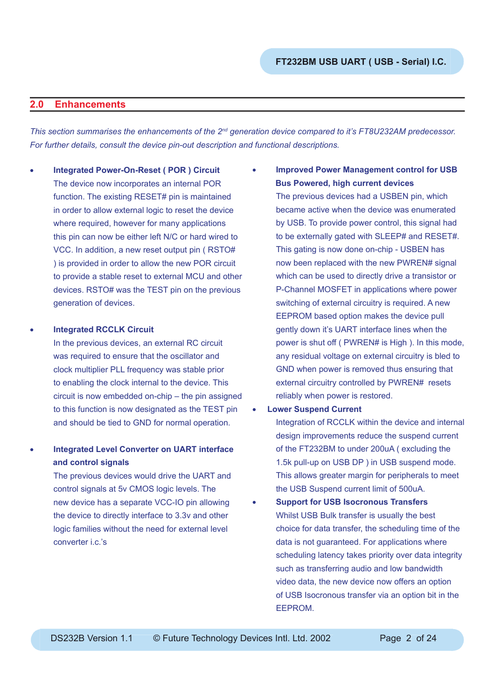## **2.0 Enhancements**

*This section summarises the enhancements of the 2nd generation device compared to it's FT8U232AM predecessor. For further details, consult the device pin-out description and functional descriptions.*

- **Integrated Power-On-Reset ( POR ) Circuit** The device now incorporates an internal POR function. The existing RESET# pin is maintained in order to allow external logic to reset the device where required, however for many applications this pin can now be either left N/C or hard wired to VCC. In addition, a new reset output pin ( RSTO# ) is provided in order to allow the new POR circuit to provide a stable reset to external MCU and other devices. RSTO# was the TEST pin on the previous generation of devices.
- **Integrated RCCLK Circuit**

In the previous devices, an external RC circuit was required to ensure that the oscillator and clock multiplier PLL frequency was stable prior to enabling the clock internal to the device. This circuit is now embedded on-chip – the pin assigned to this function is now designated as the TEST pin and should be tied to GND for normal operation.

## • **Integrated Level Converter on UART interface and control signals**

The previous devices would drive the UART and control signals at 5v CMOS logic levels. The new device has a separate VCC-IO pin allowing the device to directly interface to 3.3v and other logic families without the need for external level converter i.c.'s

- **Improved Power Management control for USB Bus Powered, high current devices** The previous devices had a USBEN pin, which became active when the device was enumerated by USB. To provide power control, this signal had to be externally gated with SLEEP# and RESET#. This gating is now done on-chip - USBEN has now been replaced with the new PWREN# signal which can be used to directly drive a transistor or P-Channel MOSFET in applications where power switching of external circuitry is required. A new EEPROM based option makes the device pull gently down it's UART interface lines when the power is shut off ( PWREN# is High ). In this mode, any residual voltage on external circuitry is bled to GND when power is removed thus ensuring that external circuitry controlled by PWREN# resets reliably when power is restored.
- **Lower Suspend Current**

Integration of RCCLK within the device and internal design improvements reduce the suspend current of the FT232BM to under 200uA ( excluding the 1.5k pull-up on USB DP ) in USB suspend mode. This allows greater margin for peripherals to meet the USB Suspend current limit of 500uA.

• **Support for USB Isocronous Transfers** Whilst USB Bulk transfer is usually the best choice for data transfer, the scheduling time of the data is not guaranteed. For applications where scheduling latency takes priority over data integrity such as transferring audio and low bandwidth video data, the new device now offers an option of USB Isocronous transfer via an option bit in the EEPROM.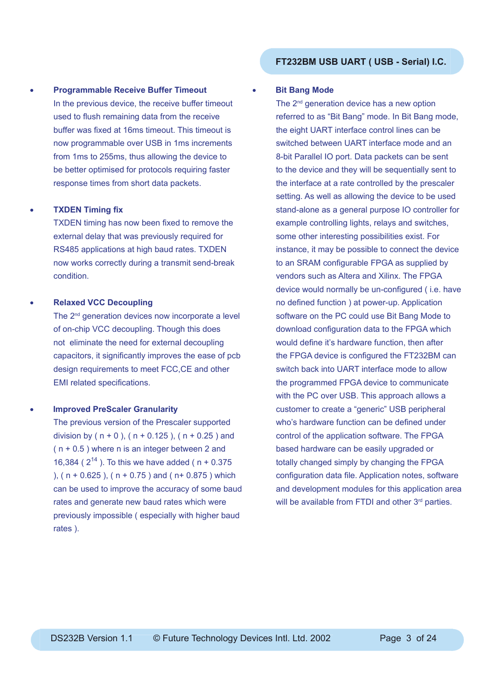## • **Programmable Receive Buffer Timeout** In the previous device, the receive buffer timeout used to flush remaining data from the receive buffer was fixed at 16ms timeout. This timeout is now programmable over USB in 1ms increments from 1ms to 255ms, thus allowing the device to be better optimised for protocols requiring faster response times from short data packets.

#### **TXDEN Timing fix**

TXDEN timing has now been fixed to remove the external delay that was previously required for RS485 applications at high baud rates. TXDEN now works correctly during a transmit send-break condition.

#### • **Relaxed VCC Decoupling**

The 2<sup>nd</sup> generation devices now incorporate a level of on-chip VCC decoupling. Though this does not eliminate the need for external decoupling capacitors, it significantly improves the ease of pcb design requirements to meet FCC,CE and other EMI related specifications.

## • **Improved PreScaler Granularity**

The previous version of the Prescaler supported division by ( $n + 0$ ), ( $n + 0.125$ ), ( $n + 0.25$ ) and  $(n + 0.5)$  where n is an integer between 2 and 16,384 ( $2^{14}$ ). To this we have added ( $n + 0.375$ ), ( $n + 0.625$ ), ( $n + 0.75$ ) and ( $n + 0.875$ ) which can be used to improve the accuracy of some baud rates and generate new baud rates which were previously impossible ( especially with higher baud rates ).

#### **Bit Bang Mode**

The 2<sup>nd</sup> generation device has a new option referred to as "Bit Bang" mode. In Bit Bang mode, the eight UART interface control lines can be switched between UART interface mode and an 8-bit Parallel IO port. Data packets can be sent to the device and they will be sequentially sent to the interface at a rate controlled by the prescaler setting. As well as allowing the device to be used stand-alone as a general purpose IO controller for example controlling lights, relays and switches, some other interesting possibilities exist. For instance, it may be possible to connect the device to an SRAM configurable FPGA as supplied by vendors such as Altera and Xilinx. The FPGA device would normally be un-configured (i.e. have no defined function ) at power-up. Application software on the PC could use Bit Bang Mode to download configuration data to the FPGA which would define it's hardware function, then after the FPGA device is configured the FT232BM can switch back into UART interface mode to allow the programmed FPGA device to communicate with the PC over USB. This approach allows a customer to create a "generic" USB peripheral who's hardware function can be defined under control of the application software. The FPGA based hardware can be easily upgraded or totally changed simply by changing the FPGA configuration data file. Application notes, software and development modules for this application area will be available from FTDI and other 3rd parties.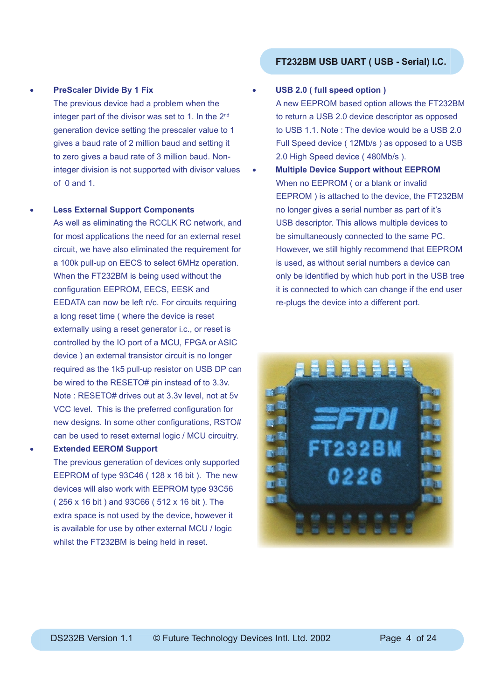#### • **PreScaler Divide By 1 Fix**

The previous device had a problem when the integer part of the divisor was set to 1. In the 2<sup>nd</sup> generation device setting the prescaler value to 1 gives a baud rate of 2 million baud and setting it to zero gives a baud rate of 3 million baud. Noninteger division is not supported with divisor values of  $0$  and  $1$ .

#### • **Less External Support Components**

As well as eliminating the RCCLK RC network, and for most applications the need for an external reset circuit, we have also eliminated the requirement for a 100k pull-up on EECS to select 6MHz operation. When the FT232BM is being used without the configuration EEPROM, EECS, EESK and EEDATA can now be left n/c. For circuits requiring a long reset time ( where the device is reset externally using a reset generator i.c., or reset is controlled by the IO port of a MCU, FPGA or ASIC device ) an external transistor circuit is no longer required as the 1k5 pull-up resistor on USB DP can be wired to the RESETO# pin instead of to 3.3v. Note : RESETO# drives out at 3.3v level, not at 5v VCC level. This is the preferred configuration for new designs. In some other configurations, RSTO# can be used to reset external logic / MCU circuitry.

• **Extended EEROM Support**

The previous generation of devices only supported EEPROM of type 93C46 ( 128 x 16 bit ). The new devices will also work with EEPROM type 93C56 ( 256 x 16 bit ) and 93C66 ( 512 x 16 bit ). The extra space is not used by the device, however it is available for use by other external MCU / logic whilst the FT232BM is being held in reset.

#### • **USB 2.0 ( full speed option )**

A new EEPROM based option allows the FT232BM to return a USB 2.0 device descriptor as opposed to USB 1.1. Note : The device would be a USB 2.0 Full Speed device ( 12Mb/s ) as opposed to a USB 2.0 High Speed device ( 480Mb/s ).

• **Multiple Device Support without EEPROM** When no EEPROM ( or a blank or invalid EEPROM ) is attached to the device, the FT232BM no longer gives a serial number as part of it's USB descriptor. This allows multiple devices to be simultaneously connected to the same PC. However, we still highly recommend that EEPROM is used, as without serial numbers a device can only be identified by which hub port in the USB tree it is connected to which can change if the end user re-plugs the device into a different port.

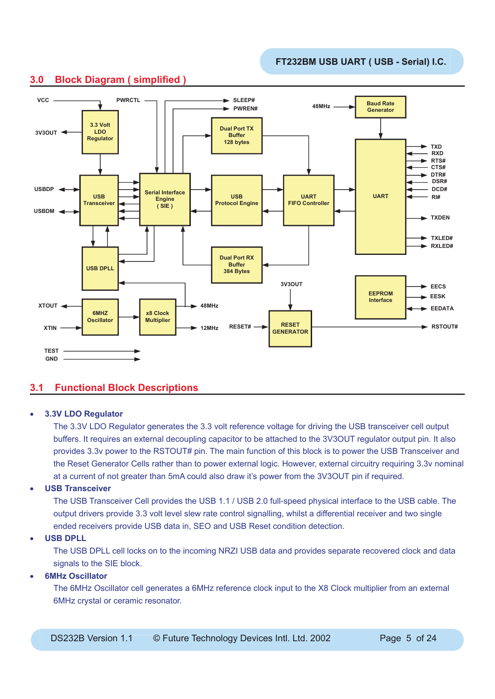

## **3.0 Block Diagram ( simplified )**

## **3.1 Functional Block Descriptions**

#### • **3.3V LDO Regulator**

The 3.3V LDO Regulator generates the 3.3 volt reference voltage for driving the USB transceiver cell output buffers. It requires an external decoupling capacitor to be attached to the 3V3OUT regulator output pin. It also provides 3.3v power to the RSTOUT# pin. The main function of this block is to power the USB Transceiver and the Reset Generator Cells rather than to power external logic. However, external circuitry requiring 3.3v nominal at a current of not greater than 5mA could also draw it's power from the 3V3OUT pin if required.

#### • **USB Transceiver**

The USB Transceiver Cell provides the USB 1.1 / USB 2.0 full-speed physical interface to the USB cable. The output drivers provide 3.3 volt level slew rate control signalling, whilst a differential receiver and two single ended receivers provide USB data in, SEO and USB Reset condition detection.

#### • **USB DPLL**

The USB DPLL cell locks on to the incoming NRZI USB data and provides separate recovered clock and data signals to the SIE block.

## • **6MHz Oscillator**

The 6MHz Oscillator cell generates a 6MHz reference clock input to the X8 Clock multiplier from an external 6MHz crystal or ceramic resonator.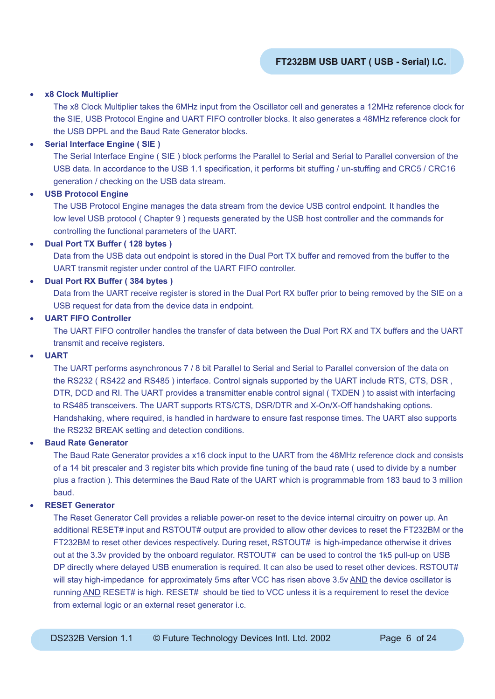#### • **x8 Clock Multiplier**

The x8 Clock Multiplier takes the 6MHz input from the Oscillator cell and generates a 12MHz reference clock for the SIE, USB Protocol Engine and UART FIFO controller blocks. It also generates a 48MHz reference clock for the USB DPPL and the Baud Rate Generator blocks.

#### • **Serial Interface Engine ( SIE )**

The Serial Interface Engine ( SIE ) block performs the Parallel to Serial and Serial to Parallel conversion of the USB data. In accordance to the USB 1.1 specification, it performs bit stuffing / un-stuffing and CRC5 / CRC16 generation / checking on the USB data stream.

#### • **USB Protocol Engine**

The USB Protocol Engine manages the data stream from the device USB control endpoint. It handles the low level USB protocol ( Chapter 9 ) requests generated by the USB host controller and the commands for controlling the functional parameters of the UART.

#### • **Dual Port TX Buffer ( 128 bytes )**

Data from the USB data out endpoint is stored in the Dual Port TX buffer and removed from the buffer to the UART transmit register under control of the UART FIFO controller.

#### • **Dual Port RX Buffer ( 384 bytes )**

Data from the UART receive register is stored in the Dual Port RX buffer prior to being removed by the SIE on a USB request for data from the device data in endpoint.

#### • **UART FIFO Controller**

The UART FIFO controller handles the transfer of data between the Dual Port RX and TX buffers and the UART transmit and receive registers.

#### • **UART**

The UART performs asynchronous 7 / 8 bit Parallel to Serial and Serial to Parallel conversion of the data on the RS232 ( RS422 and RS485 ) interface. Control signals supported by the UART include RTS, CTS, DSR , DTR, DCD and RI. The UART provides a transmitter enable control signal ( TXDEN ) to assist with interfacing to RS485 transceivers. The UART supports RTS/CTS, DSR/DTR and X-On/X-Off handshaking options. Handshaking, where required, is handled in hardware to ensure fast response times. The UART also supports the RS232 BREAK setting and detection conditions.

#### • **Baud Rate Generator**

The Baud Rate Generator provides a x16 clock input to the UART from the 48MHz reference clock and consists of a 14 bit prescaler and 3 register bits which provide fine tuning of the baud rate (used to divide by a number plus a fraction ). This determines the Baud Rate of the UART which is programmable from 183 baud to 3 million baud.

## • **RESET Generator**

The Reset Generator Cell provides a reliable power-on reset to the device internal circuitry on power up. An additional RESET# input and RSTOUT# output are provided to allow other devices to reset the FT232BM or the FT232BM to reset other devices respectively. During reset, RSTOUT# is high-impedance otherwise it drives out at the 3.3v provided by the onboard regulator. RSTOUT# can be used to control the 1k5 pull-up on USB DP directly where delayed USB enumeration is required. It can also be used to reset other devices. RSTOUT# will stay high-impedance for approximately 5ms after VCC has risen above 3.5y AND the device oscillator is running AND RESET# is high. RESET# should be tied to VCC unless it is a requirement to reset the device from external logic or an external reset generator i.c.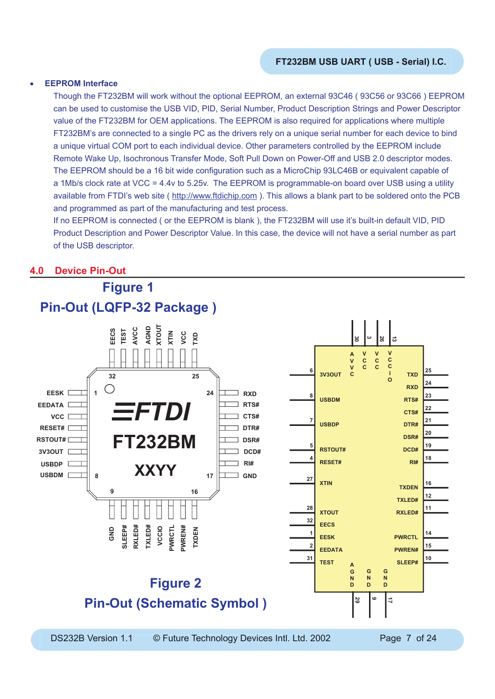#### • **EEPROM Interface**

Though the FT232BM will work without the optional EEPROM, an external 93C46 ( 93C56 or 93C66 ) EEPROM can be used to customise the USB VID, PID, Serial Number, Product Description Strings and Power Descriptor value of the FT232BM for OEM applications. The EEPROM is also required for applications where multiple FT232BM's are connected to a single PC as the drivers rely on a unique serial number for each device to bind a unique virtual COM port to each individual device. Other parameters controlled by the EEPROM include Remote Wake Up, Isochronous Transfer Mode, Soft Pull Down on Power-Off and USB 2.0 descriptor modes. The EEPROM should be a 16 bit wide configuration such as a MicroChip 93LC46B or equivalent capable of a 1Mb/s clock rate at VCC = 4.4v to 5.25v. The EEPROM is programmable-on board over USB using a utility available from FTDI's web site ( http://www.ftdichip.com ). This allows a blank part to be soldered onto the PCB and programmed as part of the manufacturing and test process.

If no EEPROM is connected ( or the EEPROM is blank ), the FT232BM will use it's built-in default VID, PID Product Description and Power Descriptor Value. In this case, the device will not have a serial number as part of the USB descriptor.

## **4.0 Device Pin-Out**

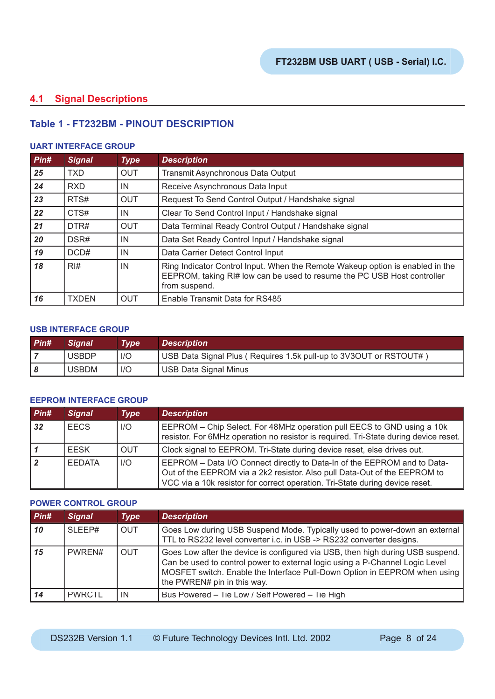## **4.1 Signal Descriptions**

## **Table 1 - FT232BM - PINOUT DESCRIPTION**

#### **UART INTERFACE GROUP**

| Pin# | <b>Signal</b>    | <b>Type</b> | <b>Description</b>                                                                                                                                                        |  |  |  |
|------|------------------|-------------|---------------------------------------------------------------------------------------------------------------------------------------------------------------------------|--|--|--|
| 25   | <b>TXD</b>       | <b>OUT</b>  | Transmit Asynchronous Data Output                                                                                                                                         |  |  |  |
| 24   | <b>RXD</b>       | IN          | Receive Asynchronous Data Input                                                                                                                                           |  |  |  |
| 23   | RTS#             | <b>OUT</b>  | Request To Send Control Output / Handshake signal                                                                                                                         |  |  |  |
| 22   | CTS#             | IN          | Clear To Send Control Input / Handshake signal                                                                                                                            |  |  |  |
| 21   | DTR#             | <b>OUT</b>  | Data Terminal Ready Control Output / Handshake signal                                                                                                                     |  |  |  |
| 20   | DSR#             | IN          | Data Set Ready Control Input / Handshake signal                                                                                                                           |  |  |  |
| 19   | DCD#             | IN          | Data Carrier Detect Control Input                                                                                                                                         |  |  |  |
| 18   | $R$ <sup>#</sup> | IN          | Ring Indicator Control Input. When the Remote Wakeup option is enabled in the<br>EEPROM, taking RI# low can be used to resume the PC USB Host controller<br>from suspend. |  |  |  |
| 16   | <b>TXDEN</b>     | <b>OUT</b>  | Enable Transmit Data for RS485                                                                                                                                            |  |  |  |

#### **USB INTERFACE GROUP**

| $P$ in# | <b>Sianal</b> | Type | <b>Description</b>                                                |
|---------|---------------|------|-------------------------------------------------------------------|
|         | <b>USBDP</b>  | 1/O  | USB Data Signal Plus (Requires 1.5k pull-up to 3V3OUT or RSTOUT#) |
|         | <b>USBDM</b>  | 1/O  | <b>USB Data Signal Minus</b>                                      |

#### **EEPROM INTERFACE GROUP**

| $P$ in# | <b>Signal</b> | <b>Type</b> | <b>Description</b>                                                                                                                                                                                                                    |
|---------|---------------|-------------|---------------------------------------------------------------------------------------------------------------------------------------------------------------------------------------------------------------------------------------|
| 32      | <b>FECS</b>   | I/O         | EEPROM – Chip Select. For 48MHz operation pull EECS to GND using a 10k<br>resistor. For 6MHz operation no resistor is required. Tri-State during device reset.                                                                        |
|         | <b>FESK</b>   | <b>OUT</b>  | Clock signal to EEPROM. Tri-State during device reset, else drives out.                                                                                                                                                               |
|         | <b>FEDATA</b> | I/O         | EEPROM - Data I/O Connect directly to Data-In of the EEPROM and to Data-<br>Out of the EEPROM via a 2k2 resistor. Also pull Data-Out of the EEPROM to<br>VCC via a 10k resistor for correct operation. Tri-State during device reset. |

#### **POWER CONTROL GROUP**

| $P$ in# | <b>Signal</b> | <b>Type</b> | <b>Description</b>                                                                                                                                                                                                                                                         |
|---------|---------------|-------------|----------------------------------------------------------------------------------------------------------------------------------------------------------------------------------------------------------------------------------------------------------------------------|
| 10      | SLEEP#        | <b>OUT</b>  | Goes Low during USB Suspend Mode. Typically used to power-down an external<br>TTL to RS232 level converter i.c. in USB -> RS232 converter designs.                                                                                                                         |
| 15      | PWREN#        | <b>OUT</b>  | Goes Low after the device is configured via USB, then high during USB suspend.<br>Can be used to control power to external logic using a P-Channel Logic Level<br>MOSFET switch. Enable the Interface Pull-Down Option in EEPROM when using<br>the PWREN# pin in this way. |
| 14      | <b>PWRCTL</b> | IN          | Bus Powered – Tie Low / Self Powered – Tie High                                                                                                                                                                                                                            |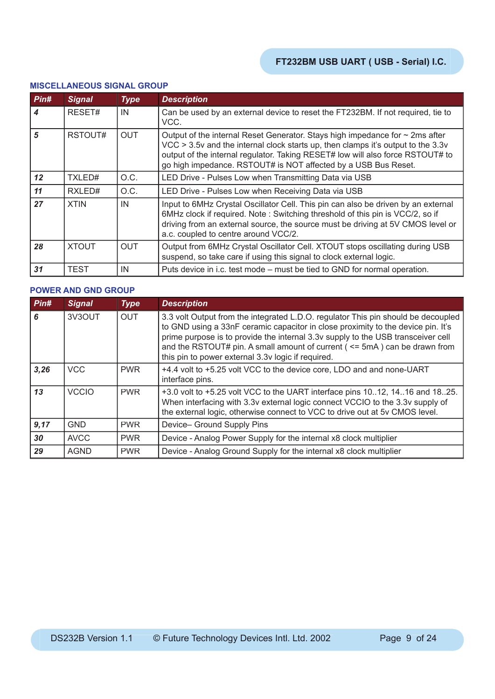#### **MISCELLANEOUS SIGNAL GROUP**

| Pin#             | <b>Signal</b> | <b>Type</b> | <b>Description</b>                                                                                                                                                                                                                                                                                                        |
|------------------|---------------|-------------|---------------------------------------------------------------------------------------------------------------------------------------------------------------------------------------------------------------------------------------------------------------------------------------------------------------------------|
| $\boldsymbol{4}$ | RESET#        | IN          | Can be used by an external device to reset the FT232BM. If not required, tie to<br>VCC.                                                                                                                                                                                                                                   |
| 5                | RSTOUT#       | <b>OUT</b>  | Output of the internal Reset Generator. Stays high impedance for $\sim$ 2ms after<br>VCC > 3.5v and the internal clock starts up, then clamps it's output to the 3.3v<br>output of the internal regulator. Taking RESET# low will also force RSTOUT# to<br>go high impedance. RSTOUT# is NOT affected by a USB Bus Reset. |
| 12               | TXLED#        | O.C.        | LED Drive - Pulses Low when Transmitting Data via USB                                                                                                                                                                                                                                                                     |
| 11               | RXLED#        | O.C.        | LED Drive - Pulses Low when Receiving Data via USB                                                                                                                                                                                                                                                                        |
| 27               | <b>XTIN</b>   | IN          | Input to 6MHz Crystal Oscillator Cell. This pin can also be driven by an external<br>6MHz clock if required. Note: Switching threshold of this pin is VCC/2, so if<br>driving from an external source, the source must be driving at 5V CMOS level or<br>a.c. coupled to centre around VCC/2.                             |
| 28               | <b>XTOUT</b>  | <b>OUT</b>  | Output from 6MHz Crystal Oscillator Cell. XTOUT stops oscillating during USB<br>suspend, so take care if using this signal to clock external logic.                                                                                                                                                                       |
| 31               | <b>TEST</b>   | IN          | Puts device in i.c. test mode – must be tied to GND for normal operation.                                                                                                                                                                                                                                                 |

#### **POWER AND GND GROUP**

| Pin# | <b>Signal</b> | <b>Type</b> | <b>Description</b>                                                                                                                                                                                                                                                                                                                                                                               |
|------|---------------|-------------|--------------------------------------------------------------------------------------------------------------------------------------------------------------------------------------------------------------------------------------------------------------------------------------------------------------------------------------------------------------------------------------------------|
| 6    | 3V3OUT        | <b>OUT</b>  | 3.3 volt Output from the integrated L.D.O. regulator This pin should be decoupled<br>to GND using a 33nF ceramic capacitor in close proximity to the device pin. It's<br>prime purpose is to provide the internal 3.3v supply to the USB transceiver cell<br>and the RSTOUT# pin. A small amount of current ( $\le$ 5mA) can be drawn from<br>this pin to power external 3.3v logic if required. |
| 3,26 | <b>VCC</b>    | <b>PWR</b>  | +4.4 volt to +5.25 volt VCC to the device core, LDO and and none-UART<br>interface pins.                                                                                                                                                                                                                                                                                                         |
| 13   | <b>VCCIO</b>  | <b>PWR</b>  | +3.0 volt to +5.25 volt VCC to the UART interface pins $1012$ , $1416$ and $1825$ .<br>When interfacing with 3.3v external logic connect VCCIO to the 3.3v supply of<br>the external logic, otherwise connect to VCC to drive out at 5v CMOS level.                                                                                                                                              |
| 9,17 | <b>GND</b>    | <b>PWR</b>  | Device- Ground Supply Pins                                                                                                                                                                                                                                                                                                                                                                       |
| 30   | <b>AVCC</b>   | <b>PWR</b>  | Device - Analog Power Supply for the internal x8 clock multiplier                                                                                                                                                                                                                                                                                                                                |
| 29   | <b>AGND</b>   | <b>PWR</b>  | Device - Analog Ground Supply for the internal x8 clock multiplier                                                                                                                                                                                                                                                                                                                               |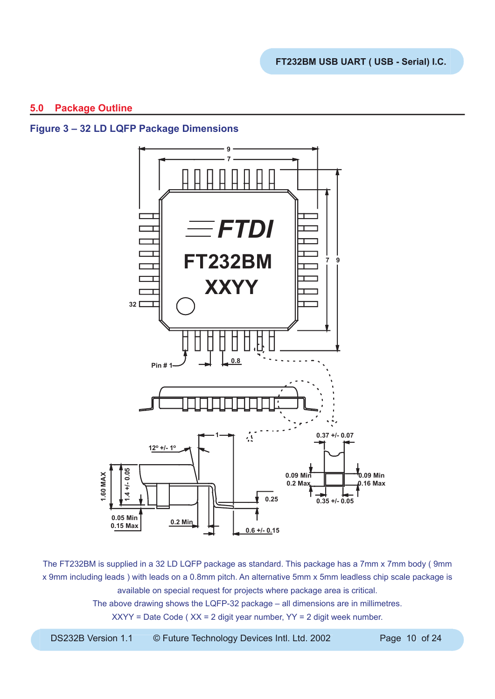## **5.0 Package Outline**

## **Figure 3 – 32 LD LQFP Package Dimensions**



The FT232BM is supplied in a 32 LD LQFP package as standard. This package has a 7mm x 7mm body ( 9mm x 9mm including leads ) with leads on a 0.8mm pitch. An alternative 5mm x 5mm leadless chip scale package is available on special request for projects where package area is critical.

The above drawing shows the LQFP-32 package – all dimensions are in millimetres.

XXYY = Date Code ( XX = 2 digit year number, YY = 2 digit week number.

DS232B Version 1.1 © Future Technology Devices Intl. Ltd. 2002 Page 10 of 24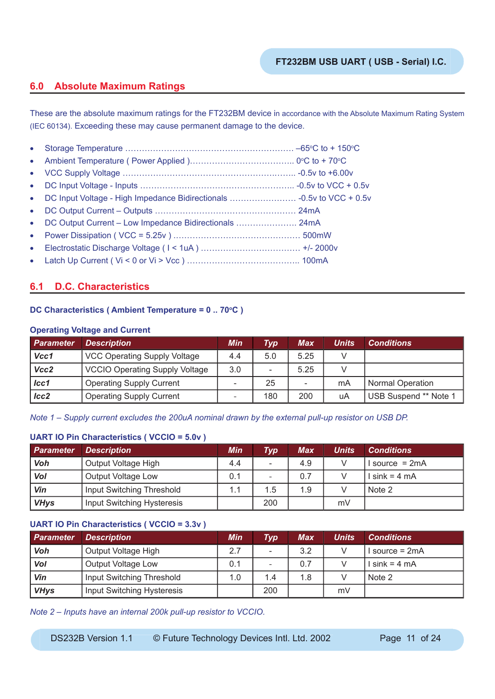## **6.0 Absolute Maximum Ratings**

These are the absolute maximum ratings for the FT232BM device in accordance with the Absolute Maximum Rating System (IEC 60134). Exceeding these may cause permanent damage to the device.

|           | • DC Output Current - Low Impedance Bidirectionals  24mA |  |
|-----------|----------------------------------------------------------|--|
|           |                                                          |  |
| $\bullet$ |                                                          |  |
|           |                                                          |  |
|           |                                                          |  |

## **6.1 D.C. Characteristics**

## **DC Characteristics (Ambient Temperature = 0 .. 70°C )**

#### **Operating Voltage and Current**

| <b>Parameter</b> | <b>Description</b>                    | <b>Min</b> | $\boldsymbol{Type}$ | Max  | Units | <b>Conditions</b>       |
|------------------|---------------------------------------|------------|---------------------|------|-------|-------------------------|
| Vcc1             | <b>VCC Operating Supply Voltage</b>   | 4.4        | 5.0                 | 5.25 |       |                         |
| Vcc2             | <b>VCCIO Operating Supply Voltage</b> | 3.0        | -                   | 5.25 |       |                         |
| Icc1             | <b>Operating Supply Current</b>       |            | 25                  | -    | mA    | <b>Normal Operation</b> |
| $lcc2$           | <b>Operating Supply Current</b>       |            | 180                 | 200  | uA    | USB Suspend ** Note 1   |

*Note 1 – Supply current excludes the 200uA nominal drawn by the external pull-up resistor on USB DP.*

## **UART IO Pin Characteristics ( VCCIO = 5.0v )**

| <b>Parameter</b> | <b>Description</b>         | <b>Min</b> | $\bm{Type^+}$ | <b>Max</b> | Units | <b>Conditions</b> |
|------------------|----------------------------|------------|---------------|------------|-------|-------------------|
| Voh              | Output Voltage High        | 4.4        | -             | 4.9        |       | $Isource = 2mA$   |
| Vol              | Output Voltage Low         | 0.1        | -             | 0.7        |       | $l \sin k = 4 mA$ |
| Vin              | Input Switching Threshold  | 1.1        | 1.5           | 1.9        |       | Note 2            |
| <b>VHys</b>      | Input Switching Hysteresis |            | 200           |            | mV    |                   |

#### **UART IO Pin Characteristics ( VCCIO = 3.3v )**

| <b>Parameter</b> | <b>Description</b>         | Min | Typ                      | Max | <b>Units</b> | <b>Conditions</b> |
|------------------|----------------------------|-----|--------------------------|-----|--------------|-------------------|
| Voh              | Output Voltage High        | 2.7 |                          | 3.2 |              | source = $2mA$    |
| Vol              | Output Voltage Low         | 0.1 | $\overline{\phantom{a}}$ | 0.7 |              | $sin k = 4 mA$    |
| Vin              | Input Switching Threshold  | 1.0 | 1.4                      | 1.8 |              | Note 2            |
| <b>VHys</b>      | Input Switching Hysteresis |     | 200                      |     | mV           |                   |

*Note 2 – Inputs have an internal 200k pull-up resistor to VCCIO.*

DS232B Version 1.1 © Future Technology Devices Intl. Ltd. 2002 Page 11 of 24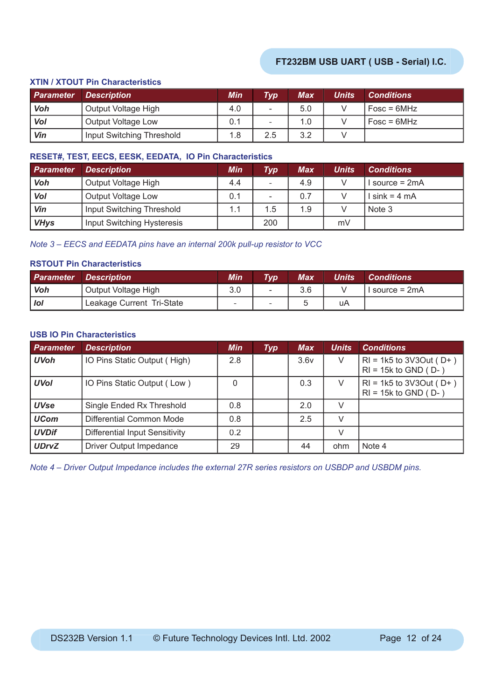## **XTIN / XTOUT Pin Characteristics**

| <b>Parameter</b> | <i>Description</i>        | Min | Typl | Max | Units | <b>Conditions</b> |
|------------------|---------------------------|-----|------|-----|-------|-------------------|
| <b>Voh</b>       | Output Voltage High       | 4.0 | -    | 5.0 |       | $Fosc = 6MHz$     |
| Vol              | Output Voltage Low        | 0.1 | -    | 1.0 |       | $Fosc = 6MHz$     |
| Vin              | Input Switching Threshold | 1.8 | 2.5  | 3.2 |       |                   |

#### **RESET#, TEST, EECS, EESK, EEDATA, IO Pin Characteristics**

| <b>Parameter</b> | <b>Description</b>         | Min | Typ | Max | Units | <b>Conditions</b> |
|------------------|----------------------------|-----|-----|-----|-------|-------------------|
| Voh              | Output Voltage High        | 4.4 | -   | 4.9 |       | source = $2mA$    |
| Vol              | Output Voltage Low         | 0.1 | -   | 0.7 |       | $\sin k = 4$ mA   |
| Vin              | Input Switching Threshold  | 1.1 | 1.5 | 1.9 |       | Note 3            |
| <b>VHys</b>      | Input Switching Hysteresis |     | 200 |     | mV    |                   |

*Note 3 – EECS and EEDATA pins have an internal 200k pull-up resistor to VCC*

#### **RSTOUT Pin Characteristics**

| <b>Parameter</b> | <i><b>Description</b></i> | Min | <b>Typ</b> | Max | <b>Units</b> | <b>Conditions</b> |
|------------------|---------------------------|-----|------------|-----|--------------|-------------------|
| Voh              | Output Voltage High       | 3.0 | -          | 3.6 |              | $Isource = 2mA$   |
| <b>lol</b>       | Leakage Current Tri-State |     | -          |     | uA           |                   |

## **USB IO Pin Characteristics**

| Parameter    | <b>Description</b>                    | <b>Min</b> | <b>Typ</b> | <b>Max</b> | <b>Units</b> | <b>Conditions</b>                                            |
|--------------|---------------------------------------|------------|------------|------------|--------------|--------------------------------------------------------------|
| <b>UVoh</b>  | IO Pins Static Output (High)          | 2.8        |            | 3.6v       | V            | $RI = 1k5$ to 3V3Out ( $D+$ )<br>$RI = 15k$ to GND ( $D -$ ) |
| <b>UVol</b>  | IO Pins Static Output (Low)           | 0          |            | 0.3        | V            | $RI = 1k5$ to 3V3Out ( $D+$ )<br>$RI = 15k$ to GND ( $D -$ ) |
| <b>UVse</b>  | Single Ended Rx Threshold             | 0.8        |            | 2.0        | V            |                                                              |
| <b>UCom</b>  | Differential Common Mode              | 0.8        |            | 2.5        | V            |                                                              |
| <b>UVDif</b> | <b>Differential Input Sensitivity</b> | 0.2        |            |            | V            |                                                              |
| <b>UDrvZ</b> | Driver Output Impedance               | 29         |            | 44         | ohm          | Note 4                                                       |

*Note 4 – Driver Output Impedance includes the external 27R series resistors on USBDP and USBDM pins.*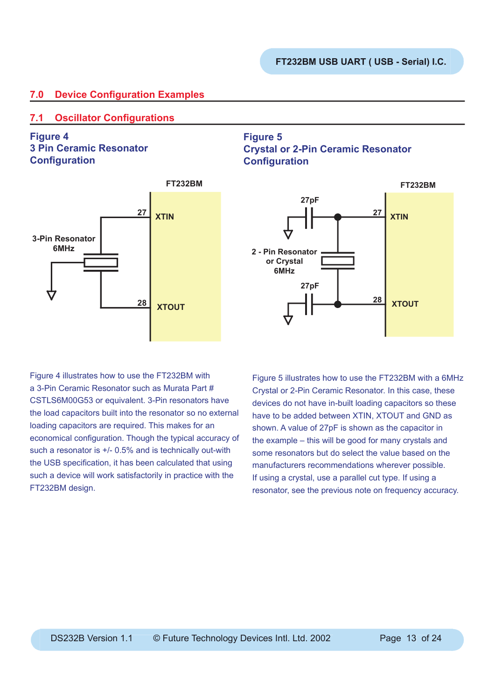## **7.0 Device Configuration Examples**

## **7.1 Oscillator Configurations**

**Figure 4 3 Pin Ceramic Resonator Configuration** 



## **Figure 5 Crystal or 2-Pin Ceramic Resonator Configuration**



Figure 4 illustrates how to use the FT232BM with a 3-Pin Ceramic Resonator such as Murata Part # CSTLS6M00G53 or equivalent. 3-Pin resonators have the load capacitors built into the resonator so no external loading capacitors are required. This makes for an economical configuration. Though the typical accuracy of such a resonator is +/- 0.5% and is technically out-with the USB specification, it has been calculated that using such a device will work satisfactorily in practice with the FT232BM design.

Figure 5 illustrates how to use the FT232BM with a 6MHz Crystal or 2-Pin Ceramic Resonator. In this case, these devices do not have in-built loading capacitors so these have to be added between XTIN, XTOUT and GND as shown. A value of 27pF is shown as the capacitor in the example – this will be good for many crystals and some resonators but do select the value based on the manufacturers recommendations wherever possible. If using a crystal, use a parallel cut type. If using a resonator, see the previous note on frequency accuracy.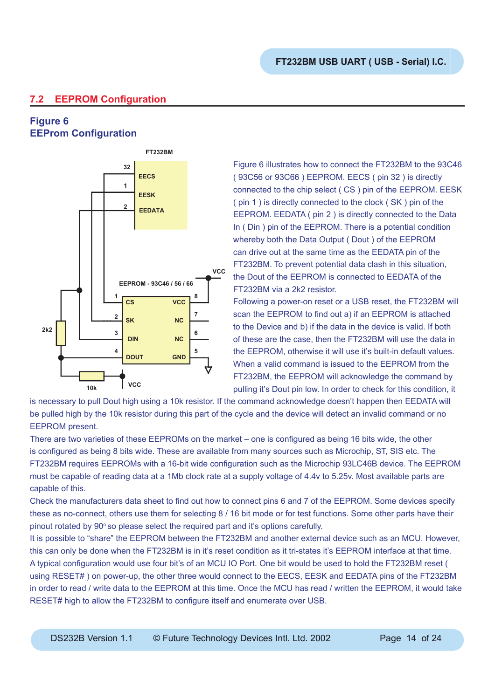## **7.2 EEPROM Configuration**

## **Figure 6 EEProm Configuration**



Figure 6 illustrates how to connect the FT232BM to the 93C46 ( 93C56 or 93C66 ) EEPROM. EECS ( pin 32 ) is directly connected to the chip select ( CS ) pin of the EEPROM. EESK ( pin 1 ) is directly connected to the clock ( SK ) pin of the EEPROM. EEDATA ( pin 2 ) is directly connected to the Data In ( Din ) pin of the EEPROM. There is a potential condition whereby both the Data Output ( Dout ) of the EEPROM can drive out at the same time as the EEDATA pin of the FT232BM. To prevent potential data clash in this situation, the Dout of the EEPROM is connected to EEDATA of the FT232BM via a 2k2 resistor.

Following a power-on reset or a USB reset, the FT232BM will scan the EEPROM to find out a) if an EEPROM is attached to the Device and b) if the data in the device is valid. If both of these are the case, then the FT232BM will use the data in the EEPROM, otherwise it will use it's built-in default values. When a valid command is issued to the EEPROM from the FT232BM, the EEPROM will acknowledge the command by pulling it's Dout pin low. In order to check for this condition, it

is necessary to pull Dout high using a 10k resistor. If the command acknowledge doesn't happen then EEDATA will be pulled high by the 10k resistor during this part of the cycle and the device will detect an invalid command or no EEPROM present.

There are two varieties of these EEPROMs on the market – one is configured as being 16 bits wide, the other is configured as being 8 bits wide. These are available from many sources such as Microchip, ST, SIS etc. The FT232BM requires EEPROMs with a 16-bit wide configuration such as the Microchip 93LC46B device. The EEPROM must be capable of reading data at a 1Mb clock rate at a supply voltage of 4.4v to 5.25v. Most available parts are capable of this.

Check the manufacturers data sheet to find out how to connect pins 6 and 7 of the EEPROM. Some devices specify these as no-connect, others use them for selecting 8 / 16 bit mode or for test functions. Some other parts have their pinout rotated by 90° so please select the required part and it's options carefully.

It is possible to "share" the EEPROM between the FT232BM and another external device such as an MCU. However, this can only be done when the FT232BM is in it's reset condition as it tri-states it's EEPROM interface at that time. A typical configuration would use four bit's of an MCU IO Port. One bit would be used to hold the FT232BM reset ( using RESET# ) on power-up, the other three would connect to the EECS, EESK and EEDATA pins of the FT232BM in order to read / write data to the EEPROM at this time. Once the MCU has read / written the EEPROM, it would take RESET# high to allow the FT232BM to configure itself and enumerate over USB.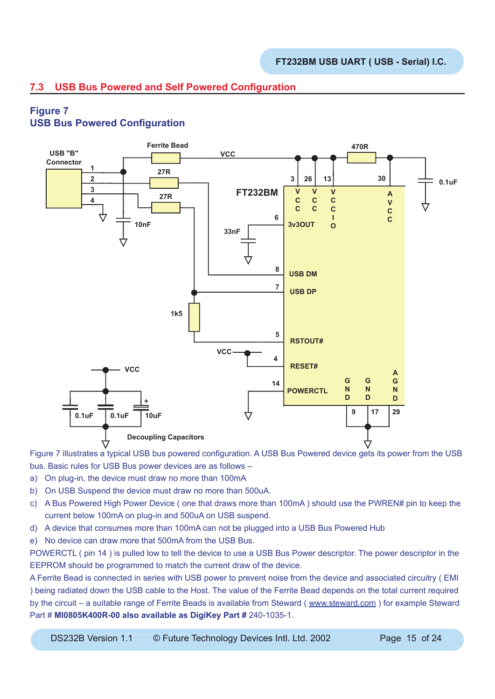## **7.3 USB Bus Powered and Self Powered Configuration**

## **Figure 7 USB Bus Powered Configuration**



Figure 7 illustrates a typical USB bus powered configuration. A USB Bus Powered device gets its power from the USB bus. Basic rules for USB Bus power devices are as follows –

- a) On plug-in, the device must draw no more than 100mA
- b) On USB Suspend the device must draw no more than 500uA.
- c) A Bus Powered High Power Device ( one that draws more than 100mA ) should use the PWREN# pin to keep the current below 100mA on plug-in and 500uA on USB suspend.
- d) A device that consumes more than 100mA can not be plugged into a USB Bus Powered Hub
- e) No device can draw more that 500mA from the USB Bus.

POWERCTL ( pin 14 ) is pulled low to tell the device to use a USB Bus Power descriptor. The power descriptor in the EEPROM should be programmed to match the current draw of the device.

A Ferrite Bead is connected in series with USB power to prevent noise from the device and associated circuitry ( EMI ) being radiated down the USB cable to the Host. The value of the Ferrite Bead depends on the total current required by the circuit – a suitable range of Ferrite Beads is available from Steward ( www.steward.com ) for example Steward Part # **MI0805K400R-00 also available as DigiKey Part #** 240-1035-1.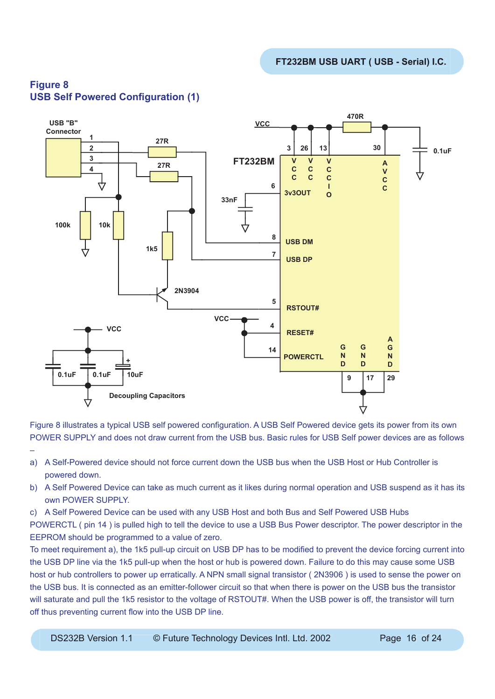

## **Figure 8 USB Self Powered Configuration (1)**

–

Figure 8 illustrates a typical USB self powered configuration. A USB Self Powered device gets its power from its own POWER SUPPLY and does not draw current from the USB bus. Basic rules for USB Self power devices are as follows

- a) A Self-Powered device should not force current down the USB bus when the USB Host or Hub Controller is powered down.
- b) A Self Powered Device can take as much current as it likes during normal operation and USB suspend as it has its own POWER SUPPLY.
- c) A Self Powered Device can be used with any USB Host and both Bus and Self Powered USB Hubs

POWERCTL ( pin 14 ) is pulled high to tell the device to use a USB Bus Power descriptor. The power descriptor in the EEPROM should be programmed to a value of zero.

To meet requirement a), the 1k5 pull-up circuit on USB DP has to be modified to prevent the device forcing current into the USB DP line via the 1k5 pull-up when the host or hub is powered down. Failure to do this may cause some USB host or hub controllers to power up erratically. A NPN small signal transistor ( 2N3906 ) is used to sense the power on the USB bus. It is connected as an emitter-follower circuit so that when there is power on the USB bus the transistor will saturate and pull the 1k5 resistor to the voltage of RSTOUT#. When the USB power is off, the transistor will turn off thus preventing current flow into the USB DP line.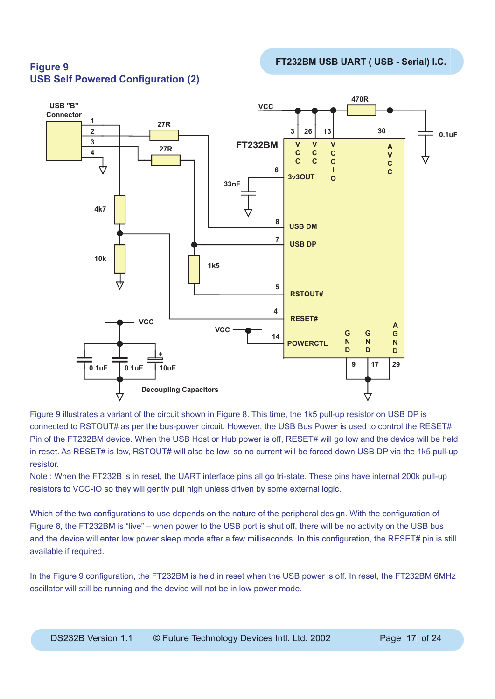#### **470R USB "B" VCC Connector 1 27R 2 3 26 13**  $30$   $\phantom{0}$   $\phantom{0}$   $\phantom{0}$   $\phantom{0}$   $\phantom{0}$   $\phantom{0}$   $\phantom{0}$   $\phantom{0}$   $\phantom{0}$   $\phantom{0}$   $\phantom{0}$   $\phantom{0}$   $\phantom{0}$   $\phantom{0}$   $\phantom{0}$   $\phantom{0}$   $\phantom{0}$   $\phantom{0}$   $\phantom{0}$   $\phantom{0}$   $\phantom{0}$   $\phantom{0}$   $\phantom{0}$   $\phantom{0}$  **3 FT232BM V V V A 27R C 4 C C V C C C C** 4 **6 I C 3v3OUT O 33nF 4k7 8 USB DM USB DP <sup>7</sup> 10k 1k5 5 RSTOUT# 4 RESET# VCC A VCC G G <sup>14</sup> <sup>G</sup> N N N POWERCTL D D D + 9 17 29 0.1uF 0.1uF 10uF Decoupling Capacitors**

**USB Self Powered Configuration (2)** 

Figure 9 illustrates a variant of the circuit shown in Figure 8. This time, the 1k5 pull-up resistor on USB DP is connected to RSTOUT# as per the bus-power circuit. However, the USB Bus Power is used to control the RESET# Pin of the FT232BM device. When the USB Host or Hub power is off, RESET# will go low and the device will be held in reset. As RESET# is low, RSTOUT# will also be low, so no current will be forced down USB DP via the 1k5 pull-up resistor.

Note : When the FT232B is in reset, the UART interface pins all go tri-state. These pins have internal 200k pull-up resistors to VCC-IO so they will gently pull high unless driven by some external logic.

Which of the two configurations to use depends on the nature of the peripheral design. With the configuration of Figure 8, the FT232BM is "live" – when power to the USB port is shut off, there will be no activity on the USB bus and the device will enter low power sleep mode after a few milliseconds. In this configuration, the RESET# pin is still available if required.

In the Figure 9 configuration, the FT232BM is held in reset when the USB power is off. In reset, the FT232BM 6MHz oscillator will still be running and the device will not be in low power mode.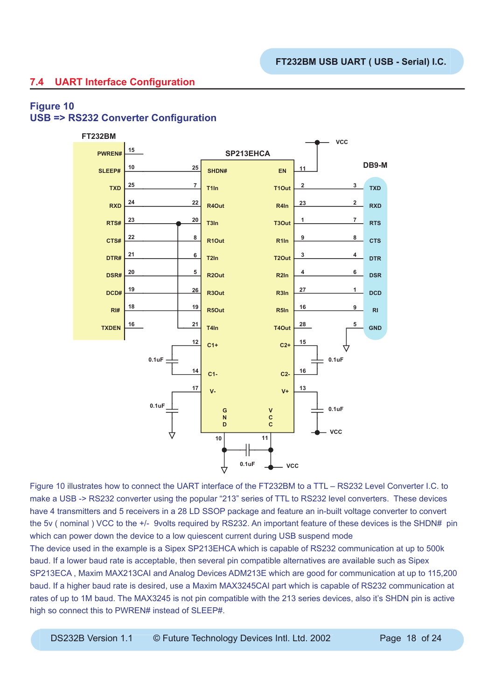## **7.4 UART Interface Configuration**

## **Figure 10 USB => RS232 Converter Configuration**



Figure 10 illustrates how to connect the UART interface of the FT232BM to a TTL – RS232 Level Converter I.C. to make a USB -> RS232 converter using the popular "213" series of TTL to RS232 level converters. These devices have 4 transmitters and 5 receivers in a 28 LD SSOP package and feature an in-built voltage converter to convert the 5v ( nominal ) VCC to the +/- 9volts required by RS232. An important feature of these devices is the SHDN# pin which can power down the device to a low quiescent current during USB suspend mode The device used in the example is a Sipex SP213EHCA which is capable of RS232 communication at up to 500k

baud. If a lower baud rate is acceptable, then several pin compatible alternatives are available such as Sipex SP213ECA , Maxim MAX213CAI and Analog Devices ADM213E which are good for communication at up to 115,200 baud. If a higher baud rate is desired, use a Maxim MAX3245CAI part which is capable of RS232 communication at rates of up to 1M baud. The MAX3245 is not pin compatible with the 213 series devices, also it's SHDN pin is active high so connect this to PWREN# instead of SLEEP#.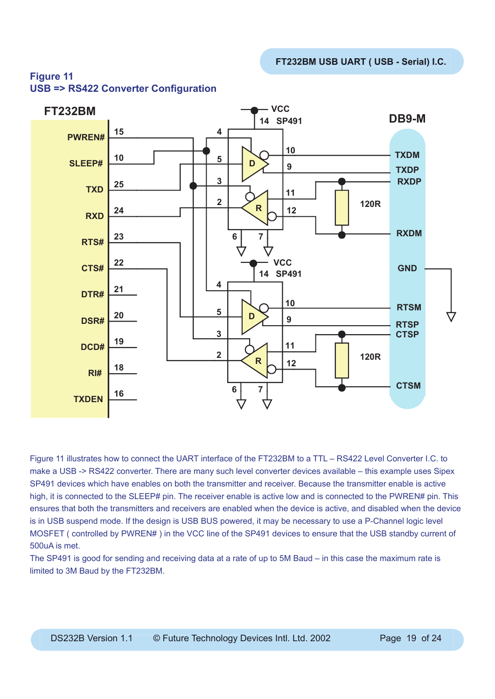

## **Figure 11 USB => RS422 Converter Configuration**

Figure 11 illustrates how to connect the UART interface of the FT232BM to a TTL – RS422 Level Converter I.C. to make a USB -> RS422 converter. There are many such level converter devices available – this example uses Sipex SP491 devices which have enables on both the transmitter and receiver. Because the transmitter enable is active high, it is connected to the SLEEP# pin. The receiver enable is active low and is connected to the PWREN# pin. This ensures that both the transmitters and receivers are enabled when the device is active, and disabled when the device is in USB suspend mode. If the design is USB BUS powered, it may be necessary to use a P-Channel logic level MOSFET ( controlled by PWREN# ) in the VCC line of the SP491 devices to ensure that the USB standby current of 500uA is met.

The SP491 is good for sending and receiving data at a rate of up to 5M Baud – in this case the maximum rate is limited to 3M Baud by the FT232BM.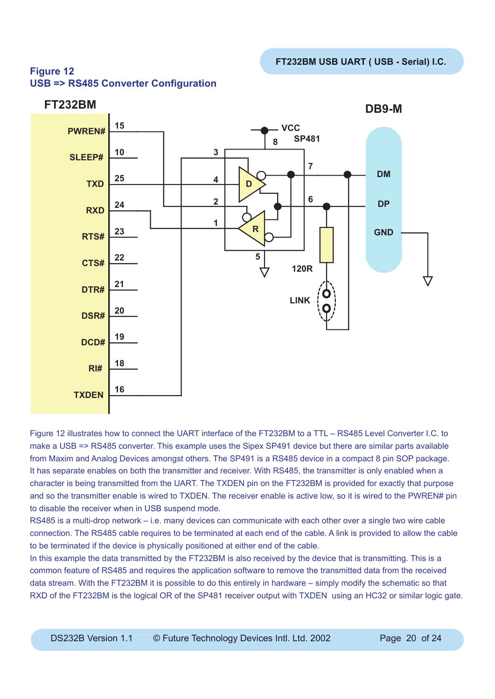## **Figure 12 USB => RS485 Converter Configuration**



Figure 12 illustrates how to connect the UART interface of the FT232BM to a TTL – RS485 Level Converter I.C. to make a USB => RS485 converter. This example uses the Sipex SP491 device but there are similar parts available from Maxim and Analog Devices amongst others. The SP491 is a RS485 device in a compact 8 pin SOP package. It has separate enables on both the transmitter and receiver. With RS485, the transmitter is only enabled when a character is being transmitted from the UART. The TXDEN pin on the FT232BM is provided for exactly that purpose and so the transmitter enable is wired to TXDEN. The receiver enable is active low, so it is wired to the PWREN# pin to disable the receiver when in USB suspend mode.

RS485 is a multi-drop network – i.e. many devices can communicate with each other over a single two wire cable connection. The RS485 cable requires to be terminated at each end of the cable. A link is provided to allow the cable to be terminated if the device is physically positioned at either end of the cable.

In this example the data transmitted by the FT232BM is also received by the device that is transmitting. This is a common feature of RS485 and requires the application software to remove the transmitted data from the received data stream. With the FT232BM it is possible to do this entirely in hardware – simply modify the schematic so that RXD of the FT232BM is the logical OR of the SP481 receiver output with TXDEN using an HC32 or similar logic gate.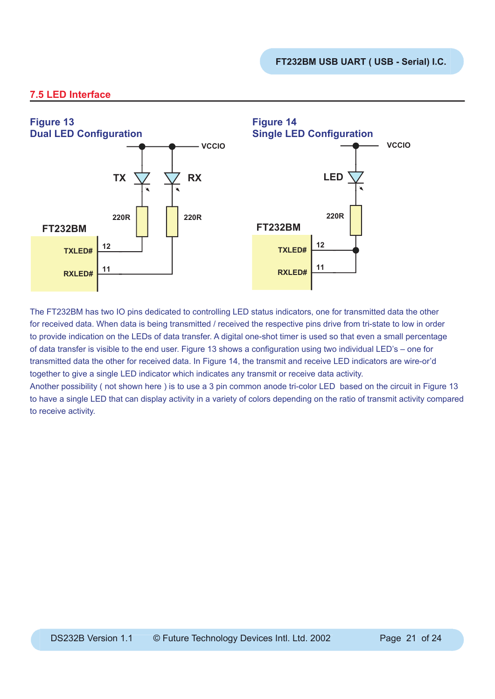## **7.5 LED Interface**



The FT232BM has two IO pins dedicated to controlling LED status indicators, one for transmitted data the other for received data. When data is being transmitted / received the respective pins drive from tri-state to low in order to provide indication on the LEDs of data transfer. A digital one-shot timer is used so that even a small percentage of data transfer is visible to the end user. Figure 13 shows a configuration using two individual LED's – one for transmitted data the other for received data. In Figure 14, the transmit and receive LED indicators are wire-or'd together to give a single LED indicator which indicates any transmit or receive data activity.

Another possibility ( not shown here ) is to use a 3 pin common anode tri-color LED based on the circuit in Figure 13 to have a single LED that can display activity in a variety of colors depending on the ratio of transmit activity compared to receive activity.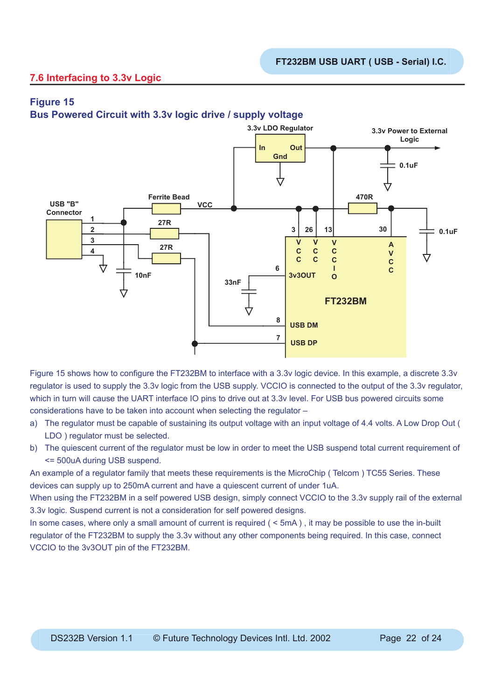## **7.6 Interfacing to 3.3v Logic**

## **Figure 15**

**Bus Powered Circuit with 3.3v logic drive / supply voltage**



Figure 15 shows how to configure the FT232BM to interface with a 3.3v logic device. In this example, a discrete 3.3v regulator is used to supply the 3.3v logic from the USB supply. VCCIO is connected to the output of the 3.3v regulator, which in turn will cause the UART interface IO pins to drive out at 3.3v level. For USB bus powered circuits some considerations have to be taken into account when selecting the regulator –

- a) The regulator must be capable of sustaining its output voltage with an input voltage of 4.4 volts. A Low Drop Out ( LDO ) regulator must be selected.
- b) The quiescent current of the regulator must be low in order to meet the USB suspend total current requirement of <= 500uA during USB suspend.

An example of a regulator family that meets these requirements is the MicroChip ( Telcom ) TC55 Series. These devices can supply up to 250mA current and have a quiescent current of under 1uA.

When using the FT232BM in a self powered USB design, simply connect VCCIO to the 3.3v supply rail of the external 3.3v logic. Suspend current is not a consideration for self powered designs.

In some cases, where only a small amount of current is required (  $\leq$  5mA), it may be possible to use the in-built regulator of the FT232BM to supply the 3.3v without any other components being required. In this case, connect VCCIO to the 3v3OUT pin of the FT232BM.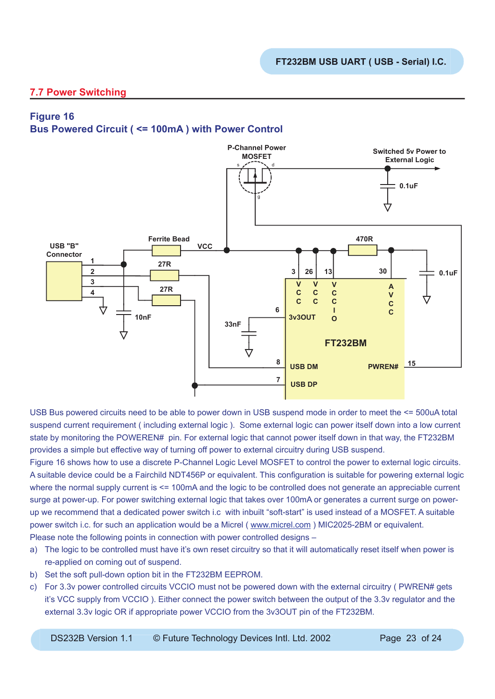## **7.7 Power Switching**

## **Figure 16**

## **Bus Powered Circuit ( <= 100mA ) with Power Control**



USB Bus powered circuits need to be able to power down in USB suspend mode in order to meet the <= 500uA total suspend current requirement ( including external logic ). Some external logic can power itself down into a low current state by monitoring the POWEREN# pin. For external logic that cannot power itself down in that way, the FT232BM provides a simple but effective way of turning off power to external circuitry during USB suspend.

Figure 16 shows how to use a discrete P-Channel Logic Level MOSFET to control the power to external logic circuits. A suitable device could be a Fairchild NDT456P or equivalent. This configuration is suitable for powering external logic where the normal supply current is  $\leq$  100mA and the logic to be controlled does not generate an appreciable current surge at power-up. For power switching external logic that takes over 100mA or generates a current surge on powerup we recommend that a dedicated power switch i.c with inbuilt "soft-start" is used instead of a MOSFET. A suitable power switch i.c. for such an application would be a Micrel ( www.micrel.com ) MIC2025-2BM or equivalent.

- Please note the following points in connection with power controlled designs –
- a) The logic to be controlled must have it's own reset circuitry so that it will automatically reset itself when power is re-applied on coming out of suspend.
- b) Set the soft pull-down option bit in the FT232BM EEPROM.
- c) For 3.3v power controlled circuits VCCIO must not be powered down with the external circuitry ( PWREN# gets it's VCC supply from VCCIO ). Either connect the power switch between the output of the 3.3v regulator and the external 3.3v logic OR if appropriate power VCCIO from the 3v3OUT pin of the FT232BM.

DS232B Version 1.1 © Future Technology Devices Intl. Ltd. 2002 Page 23 of 24